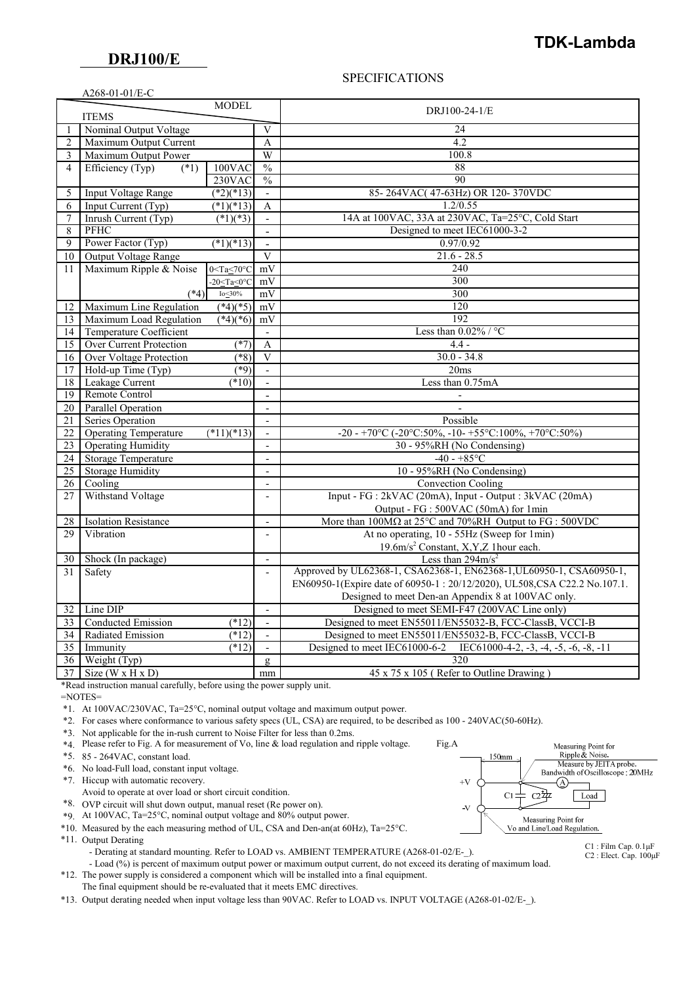### **DRJ100/E**

A268-01-01/E-C

## **TDK-Lambda**

#### SPECIFICATIONS

|                | $A200 - 01 - 01/E - C$         |                               |                          |                                                                                 |
|----------------|--------------------------------|-------------------------------|--------------------------|---------------------------------------------------------------------------------|
|                | <b>ITEMS</b>                   | <b>MODEL</b>                  |                          | DRJ100-24-1/E                                                                   |
| 1              | Nominal Output Voltage         |                               | $\mathbf{V}$             | 24                                                                              |
| $\overline{2}$ | Maximum Output Current         |                               | A                        | 4.2                                                                             |
| 3              | Maximum Output Power           |                               | W                        | 100.8                                                                           |
| 4              | Efficiency (Typ)<br>$(*1)$     | $100$ VAC                     | $\frac{0}{0}$            | 88                                                                              |
|                |                                | 230VAC                        | $\frac{0}{0}$            | 90                                                                              |
| 5              | Input Voltage Range            | $(*2)(*13)$                   | $\overline{a}$           | 85-264VAC(47-63Hz) OR 120-370VDC                                                |
| 6              | Input Current (Typ)            | $(*1)(*13)$                   | A                        | 1.2/0.55                                                                        |
| 7              | Inrush Current (Typ)           | $\sqrt{(*1)(*3)}$             | $\overline{a}$           | 14A at 100VAC, 33A at 230VAC, Ta=25°C, Cold Start                               |
| 8              | <b>PFHC</b>                    |                               | $\overline{a}$           | Designed to meet IEC61000-3-2                                                   |
| 9              | Power Factor (Typ)             | $\sqrt{(*1)(*13)}$            | $\Box$                   | 0.97/0.92                                                                       |
| 10             | Output Voltage Range           |                               | $\overline{V}$           | $21.6 - 28.5$                                                                   |
| 11             | Maximum Ripple & Noise         | $0 <$ Ta $\leq 70$ °C         | mV                       | 240                                                                             |
|                |                                | $-20 \leq Ta \leq 0^{\circ}C$ | mV                       | 300                                                                             |
|                | $(*4)$                         | $Io\_30\%$                    | mV                       | 300                                                                             |
| 12             | Maximum Line Regulation        | $(*4)(*5)$                    | mV                       | 120                                                                             |
| 13             | Maximum Load Regulation        | $(*4)(*6)$                    | mV                       | $\overline{192}$                                                                |
| 14             | Temperature Coefficient        |                               | $\overline{\phantom{m}}$ | Less than $0.02\%$ / °C                                                         |
| 15             | <b>Over Current Protection</b> | $(*7)$                        | $\mathbf{A}$             | $4.4 -$                                                                         |
|                | Over Voltage Protection        | $(*8)$                        | $\mathbf{V}$             | $30.0 - 34.8$                                                                   |
| 16             |                                | (89)                          | $\overline{a}$           |                                                                                 |
| 17             | Hold-up Time (Typ)             |                               |                          | 20ms                                                                            |
| 18             | Leakage Current                | $(*10)$                       | $\overline{a}$           | Less than 0.75mA                                                                |
| 19             | Remote Control                 |                               | $\blacksquare$           |                                                                                 |
| 20 I           | Parallel Operation             |                               | $\overline{\phantom{a}}$ | $\blacksquare$                                                                  |
| 21             | <b>Series Operation</b>        |                               | $\overline{a}$           | Possible                                                                        |
| 22             | <b>Operating Temperature</b>   | $(*11)(*13)$                  | $\blacksquare$           | -20 - +70°C (-20°C:50%, -10- +55°C:100%, +70°C:50%)                             |
| 23             | <b>Operating Humidity</b>      |                               | $\overline{a}$           | 30 - 95%RH (No Condensing)                                                      |
| 24             | <b>Storage Temperature</b>     |                               | $\overline{\phantom{a}}$ | $-40 - +85$ °C                                                                  |
| 25             | <b>Storage Humidity</b>        |                               | $\overline{\phantom{a}}$ | 10 - 95%RH (No Condensing)                                                      |
| 26             | Cooling                        |                               | $\overline{\phantom{a}}$ | <b>Convection Cooling</b>                                                       |
| 27             | Withstand Voltage              |                               | $\overline{\phantom{a}}$ | Input - FG : 2kVAC (20mA), Input - Output : 3kVAC (20mA)                        |
|                |                                |                               |                          | Output - FG : 500VAC (50mA) for 1min                                            |
| 28             | <b>Isolation Resistance</b>    |                               | $\blacksquare$           | More than $100M\Omega$ at $25^{\circ}$ C and $70\%$ RH Output to FG : $500$ VDC |
| 29             | Vibration                      |                               | $\overline{a}$           | At no operating, 10 - 55Hz (Sweep for 1min)                                     |
|                |                                |                               |                          | 19.6m/s <sup>2</sup> Constant, X,Y,Z 1hour each.                                |
| 30             | Shock (In package)             |                               | $\overline{\phantom{a}}$ | Less than $294 \text{m/s}^2$                                                    |
| 31             | Safety                         |                               | $\overline{a}$           | Approved by UL62368-1, CSA62368-1, EN62368-1, UL60950-1, CSA60950-1,            |
|                |                                |                               |                          | EN60950-1(Expire date of 60950-1:20/12/2020), UL508, CSA C22.2 No.107.1.        |
|                |                                |                               |                          | Designed to meet Den-an Appendix 8 at 100VAC only.                              |
| 32             | Line DIP                       |                               | $\overline{\phantom{a}}$ | Designed to meet SEMI-F47 (200VAC Line only)                                    |
| 33             | Conducted Emission             | $(*12)$                       | $\overline{a}$           | Designed to meet EN55011/EN55032-B, FCC-ClassB, VCCI-B                          |
| 34             | Radiated Emission              | (12)                          | $\overline{\phantom{a}}$ | Designed to meet EN55011/EN55032-B, FCC-ClassB, VCCI-B                          |
| 35             | Immunity                       | $(*12)$                       | $\overline{a}$           | Designed to meet IEC61000-6-2 IEC61000-4-2, -3, -4, -5, -6, -8, -11             |
| 36             | Weight (Typ)                   |                               | g                        | 320                                                                             |
| 37             | Size ( $W \times H \times D$ ) |                               | mm                       | 45 x 75 x 105 (Refer to Outline Drawing)                                        |
|                |                                |                               |                          |                                                                                 |

\*Read instruction manual carefully, before using the power supply unit.

=NOTES=

\*1. At 100VAC/230VAC, Ta=25°C, nominal output voltage and maximum output power.

\*2. For cases where conformance to various safety specs (UL, CSA) are required, to be described as 100 - 240VAC(50-60Hz).

- \*3. Not applicable for the in-rush current to Noise Filter for less than 0.2ms.
- \*4. Please refer to Fig. A for measurement of Vo, line & load regulation and ripple voltage. Fig.A
- \*5. 85 264VAC, constant load.
- \*6. No load-Full load, constant input voltage.

\*7. Hiccup with automatic recovery.

- Avoid to operate at over load or short circuit condition.
- \*8. OVP circuit will shut down output, manual reset (Re power on).
- \*9. At 100VAC, Ta=25°C, nominal output voltage and 80% output power.
- \*10. Measured by the each measuring method of UL, CSA and Den-an(at 60Hz), Ta=25°C.
- \*11. Output Derating

- Derating at standard mounting. Refer to LOAD vs. AMBIENT TEMPERATURE (A268-01-02/E- ).

 - Load (%) is percent of maximum output power or maximum output current, do not exceed its derating of maximum load. \*12. The power supply is considered a component which will be installed into a final equipment.

The final equipment should be re-evaluated that it meets EMC directives.

\*13. Output derating needed when input voltage less than 90VAC. Refer to LOAD vs. INPUT VOLTAGE (A268-01-02/E-\_).



C1 : Film Cap. 0.1μF C2 : Elect. Cap. 100μF